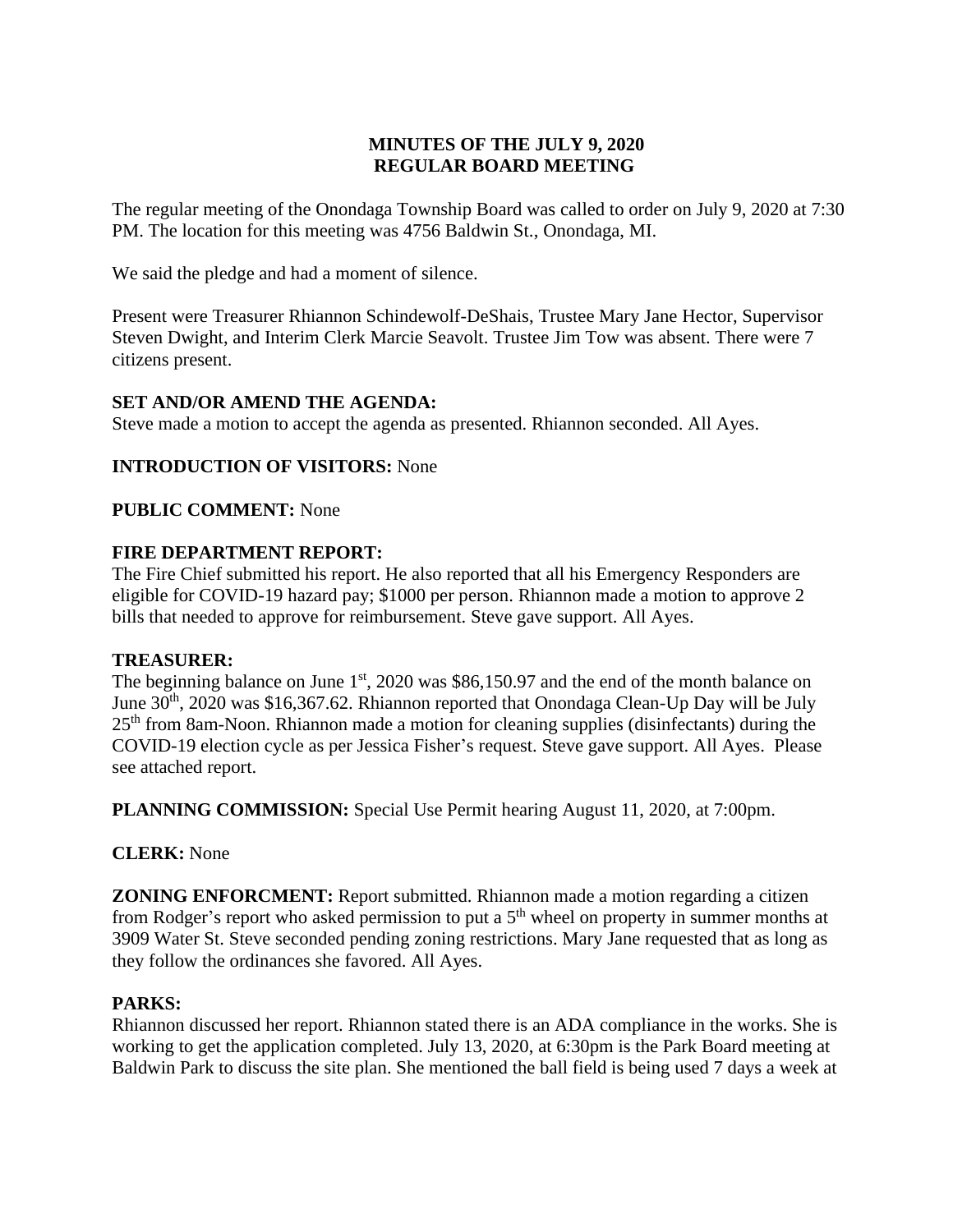# **MINUTES OF THE JULY 9, 2020 REGULAR BOARD MEETING**

The regular meeting of the Onondaga Township Board was called to order on July 9, 2020 at 7:30 PM. The location for this meeting was 4756 Baldwin St., Onondaga, MI.

We said the pledge and had a moment of silence.

Present were Treasurer Rhiannon Schindewolf-DeShais, Trustee Mary Jane Hector, Supervisor Steven Dwight, and Interim Clerk Marcie Seavolt. Trustee Jim Tow was absent. There were 7 citizens present.

## **SET AND/OR AMEND THE AGENDA:**

Steve made a motion to accept the agenda as presented. Rhiannon seconded. All Ayes.

## **INTRODUCTION OF VISITORS:** None

**PUBLIC COMMENT:** None

## **FIRE DEPARTMENT REPORT:**

The Fire Chief submitted his report. He also reported that all his Emergency Responders are eligible for COVID-19 hazard pay; \$1000 per person. Rhiannon made a motion to approve 2 bills that needed to approve for reimbursement. Steve gave support. All Ayes.

## **TREASURER:**

The beginning balance on June  $1<sup>st</sup>$ , 2020 was \$86,150.97 and the end of the month balance on June  $30<sup>th</sup>$ , 2020 was \$16,367.62. Rhiannon reported that Onondaga Clean-Up Day will be July 25<sup>th</sup> from 8am-Noon. Rhiannon made a motion for cleaning supplies (disinfectants) during the COVID-19 election cycle as per Jessica Fisher's request. Steve gave support. All Ayes. Please see attached report.

**PLANNING COMMISSION:** Special Use Permit hearing August 11, 2020, at 7:00pm.

## **CLERK:** None

**ZONING ENFORCMENT:** Report submitted. Rhiannon made a motion regarding a citizen from Rodger's report who asked permission to put a  $5<sup>th</sup>$  wheel on property in summer months at 3909 Water St. Steve seconded pending zoning restrictions. Mary Jane requested that as long as they follow the ordinances she favored. All Ayes.

## **PARKS:**

Rhiannon discussed her report. Rhiannon stated there is an ADA compliance in the works. She is working to get the application completed. July 13, 2020, at 6:30pm is the Park Board meeting at Baldwin Park to discuss the site plan. She mentioned the ball field is being used 7 days a week at